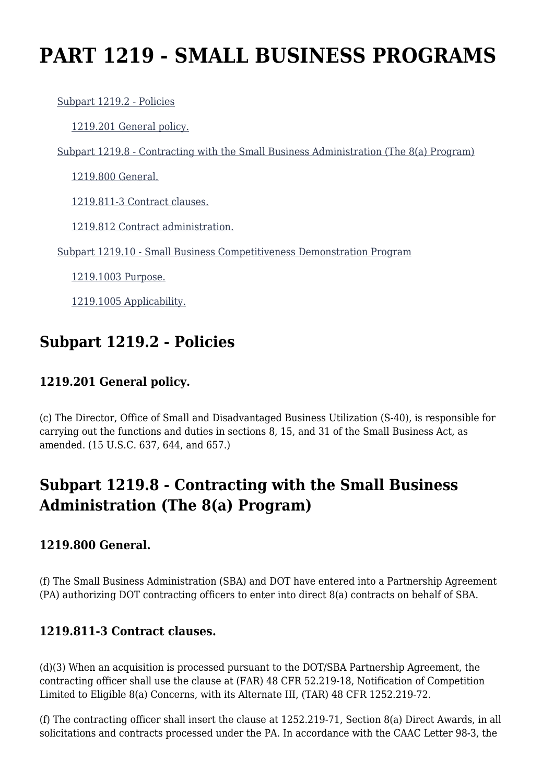# **PART 1219 - SMALL BUSINESS PROGRAMS**

[Subpart 1219.2 - Policies](https://origin-www.acquisition.gov/%5Brp:link:tar-part-1219%5D#Subpart_1219_2_T48_50538151)

[1219.201 General policy.](https://origin-www.acquisition.gov/%5Brp:link:tar-part-1219%5D#Section_1219_201_T48_5053815111)

[Subpart 1219.8 - Contracting with the Small Business Administration \(The 8\(a\) Program\)](https://origin-www.acquisition.gov/%5Brp:link:tar-part-1219%5D#Subpart_1219_8_T48_50538152)

[1219.800 General.](https://origin-www.acquisition.gov/%5Brp:link:tar-part-1219%5D#Section_1219_800_T48_5053815211)

[1219.811-3 Contract clauses.](https://origin-www.acquisition.gov/%5Brp:link:tar-part-1219%5D#Section_1219_811_3_T48_5053815212)

[1219.812 Contract administration.](https://origin-www.acquisition.gov/%5Brp:link:tar-part-1219%5D#Section_1219_812_T48_5053815213)

[Subpart 1219.10 - Small Business Competitiveness Demonstration Program](https://origin-www.acquisition.gov/%5Brp:link:tar-part-1219%5D#Subpart_1219_10_T48_50538153)

[1219.1003 Purpose.](https://origin-www.acquisition.gov/%5Brp:link:tar-part-1219%5D#Section_1219_1003_T48_5053815311)

[1219.1005 Applicability.](https://origin-www.acquisition.gov/%5Brp:link:tar-part-1219%5D#Section_1219_1005_T48_5053815312)

# **Subpart 1219.2 - Policies**

### **1219.201 General policy.**

(c) The Director, Office of Small and Disadvantaged Business Utilization (S-40), is responsible for carrying out the functions and duties in sections 8, 15, and 31 of the Small Business Act, as amended. (15 U.S.C. 637, 644, and 657.)

# **Subpart 1219.8 - Contracting with the Small Business Administration (The 8(a) Program)**

#### **1219.800 General.**

(f) The Small Business Administration (SBA) and DOT have entered into a Partnership Agreement (PA) authorizing DOT contracting officers to enter into direct 8(a) contracts on behalf of SBA.

#### **1219.811-3 Contract clauses.**

(d)(3) When an acquisition is processed pursuant to the DOT/SBA Partnership Agreement, the contracting officer shall use the clause at (FAR) 48 CFR 52.219-18, Notification of Competition Limited to Eligible 8(a) Concerns, with its Alternate III, (TAR) 48 CFR 1252.219-72.

(f) The contracting officer shall insert the clause at 1252.219-71, Section 8(a) Direct Awards, in all solicitations and contracts processed under the PA. In accordance with the CAAC Letter 98-3, the